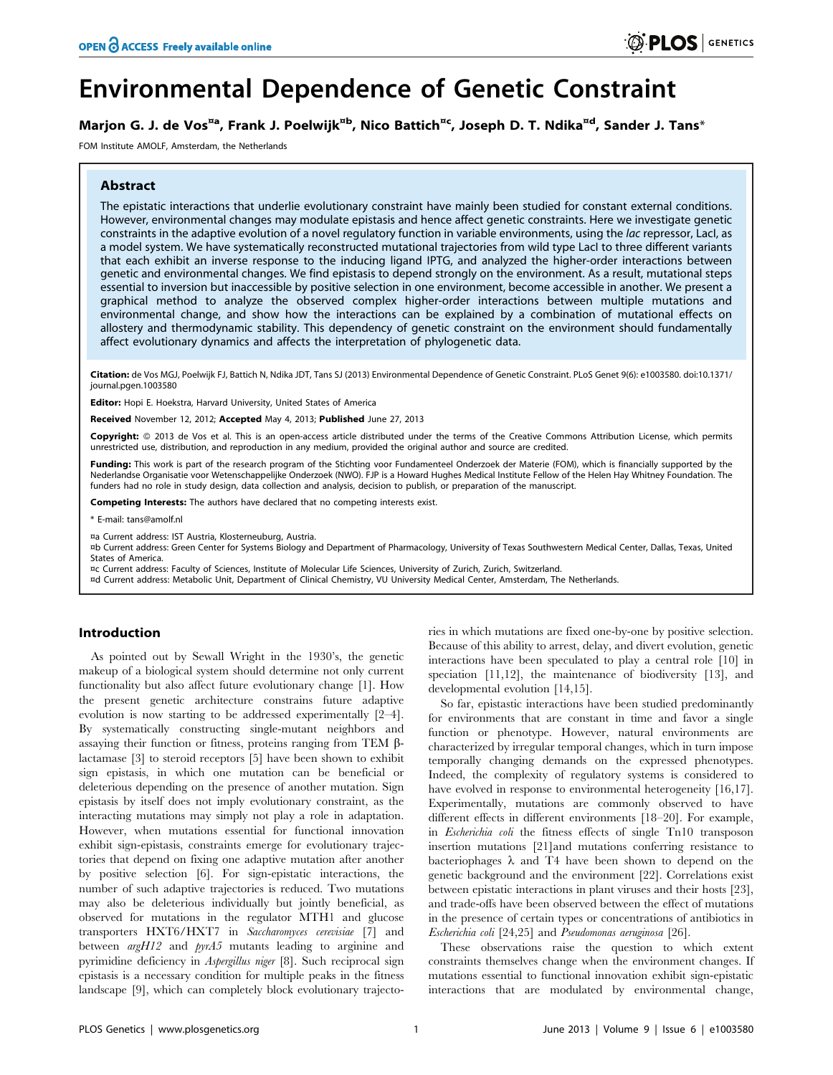# Environmental Dependence of Genetic Constraint

Marjon G. J. de Vos<sup>¤a</sup>, Frank J. Poelwijk<sup>¤b</sup>, Nico Battich<sup>¤c</sup>, Joseph D. T. Ndika<sup>¤d</sup>, Sander J. Tans\*

FOM Institute AMOLF, Amsterdam, the Netherlands

# Abstract

The epistatic interactions that underlie evolutionary constraint have mainly been studied for constant external conditions. However, environmental changes may modulate epistasis and hence affect genetic constraints. Here we investigate genetic constraints in the adaptive evolution of a novel regulatory function in variable environments, using the *lac* repressor, LacI, as a model system. We have systematically reconstructed mutational trajectories from wild type LacI to three different variants that each exhibit an inverse response to the inducing ligand IPTG, and analyzed the higher-order interactions between genetic and environmental changes. We find epistasis to depend strongly on the environment. As a result, mutational steps essential to inversion but inaccessible by positive selection in one environment, become accessible in another. We present a graphical method to analyze the observed complex higher-order interactions between multiple mutations and environmental change, and show how the interactions can be explained by a combination of mutational effects on allostery and thermodynamic stability. This dependency of genetic constraint on the environment should fundamentally affect evolutionary dynamics and affects the interpretation of phylogenetic data.

Citation: de Vos MGJ, Poelwijk FJ, Battich N, Ndika JDT, Tans SJ (2013) Environmental Dependence of Genetic Constraint. PLoS Genet 9(6): e1003580. doi:10.1371/ journal.pgen.1003580

Editor: Hopi E. Hoekstra, Harvard University, United States of America

Received November 12, 2012; Accepted May 4, 2013; Published June 27, 2013

**Copyright:** © 2013 de Vos et al. This is an open-access article distributed under the terms of the Creative Commons Attribution License, which permits unrestricted use, distribution, and reproduction in any medium, provided the original author and source are credited.

Funding: This work is part of the research program of the Stichting voor Fundamenteel Onderzoek der Materie (FOM), which is financially supported by the Nederlandse Organisatie voor Wetenschappelijke Onderzoek (NWO). FJP is a Howard Hughes Medical Institute Fellow of the Helen Hay Whitney Foundation. The funders had no role in study design, data collection and analysis, decision to publish, or preparation of the manuscript.

Competing Interests: The authors have declared that no competing interests exist.

\* E-mail: tans@amolf.nl

¤a Current address: IST Austria, Klosterneuburg, Austria.

¤b Current address: Green Center for Systems Biology and Department of Pharmacology, University of Texas Southwestern Medical Center, Dallas, Texas, United States of America.

¤c Current address: Faculty of Sciences, Institute of Molecular Life Sciences, University of Zurich, Zurich, Switzerland.

¤d Current address: Metabolic Unit, Department of Clinical Chemistry, VU University Medical Center, Amsterdam, The Netherlands.

## Introduction

As pointed out by Sewall Wright in the 1930's, the genetic makeup of a biological system should determine not only current functionality but also affect future evolutionary change [1]. How the present genetic architecture constrains future adaptive evolution is now starting to be addressed experimentally [2–4]. By systematically constructing single-mutant neighbors and assaying their function or fitness, proteins ranging from TEM  $\beta$ lactamase [3] to steroid receptors [5] have been shown to exhibit sign epistasis, in which one mutation can be beneficial or deleterious depending on the presence of another mutation. Sign epistasis by itself does not imply evolutionary constraint, as the interacting mutations may simply not play a role in adaptation. However, when mutations essential for functional innovation exhibit sign-epistasis, constraints emerge for evolutionary trajectories that depend on fixing one adaptive mutation after another by positive selection [6]. For sign-epistatic interactions, the number of such adaptive trajectories is reduced. Two mutations may also be deleterious individually but jointly beneficial, as observed for mutations in the regulator MTH1 and glucose transporters HXT6/HXT7 in Saccharomyces cerevisiae [7] and between argH12 and pyrA5 mutants leading to arginine and pyrimidine deficiency in Aspergillus niger [8]. Such reciprocal sign epistasis is a necessary condition for multiple peaks in the fitness landscape [9], which can completely block evolutionary trajectories in which mutations are fixed one-by-one by positive selection. Because of this ability to arrest, delay, and divert evolution, genetic interactions have been speculated to play a central role [10] in speciation [11,12], the maintenance of biodiversity [13], and developmental evolution [14,15].

So far, epistastic interactions have been studied predominantly for environments that are constant in time and favor a single function or phenotype. However, natural environments are characterized by irregular temporal changes, which in turn impose temporally changing demands on the expressed phenotypes. Indeed, the complexity of regulatory systems is considered to have evolved in response to environmental heterogeneity [16,17]. Experimentally, mutations are commonly observed to have different effects in different environments [18–20]. For example, in Escherichia coli the fitness effects of single Tn10 transposon insertion mutations [21]and mutations conferring resistance to bacteriophages  $\lambda$  and T4 have been shown to depend on the genetic background and the environment [22]. Correlations exist between epistatic interactions in plant viruses and their hosts [23], and trade-offs have been observed between the effect of mutations in the presence of certain types or concentrations of antibiotics in Escherichia coli [24,25] and Pseudomonas aeruginosa [26].

These observations raise the question to which extent constraints themselves change when the environment changes. If mutations essential to functional innovation exhibit sign-epistatic interactions that are modulated by environmental change,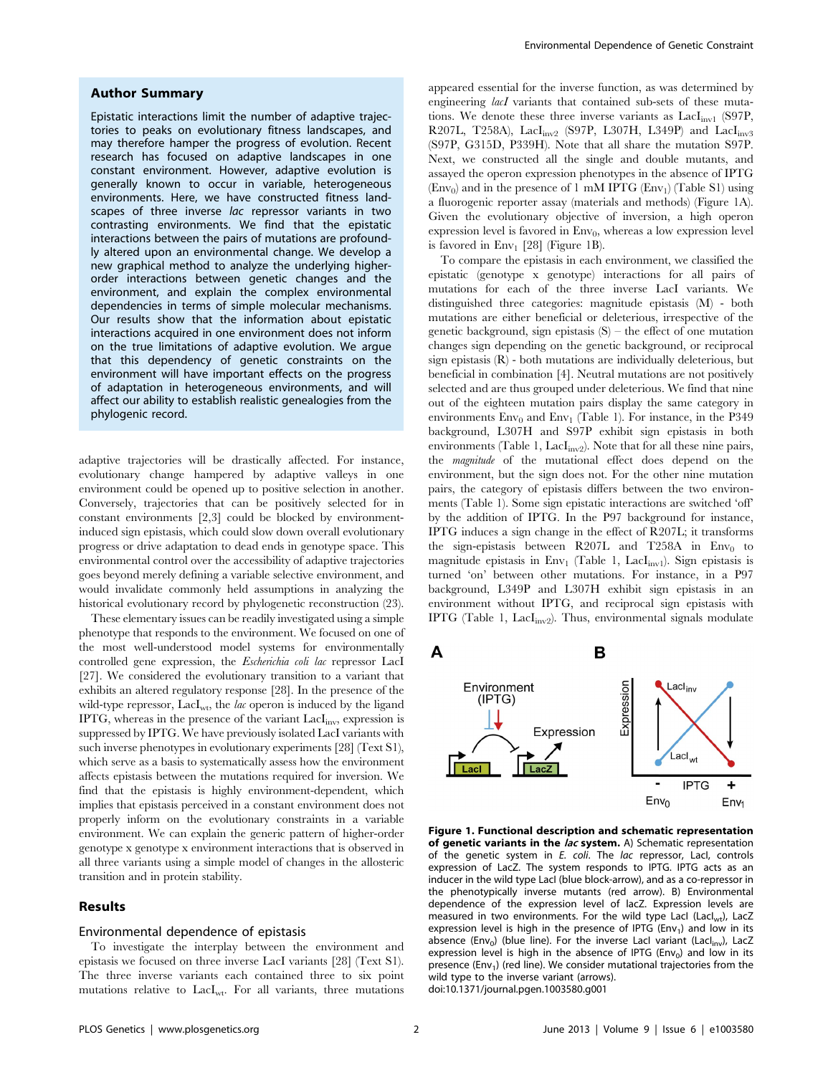## Author Summary

Epistatic interactions limit the number of adaptive trajectories to peaks on evolutionary fitness landscapes, and may therefore hamper the progress of evolution. Recent research has focused on adaptive landscapes in one constant environment. However, adaptive evolution is generally known to occur in variable, heterogeneous environments. Here, we have constructed fitness landscapes of three inverse lac repressor variants in two contrasting environments. We find that the epistatic interactions between the pairs of mutations are profoundly altered upon an environmental change. We develop a new graphical method to analyze the underlying higherorder interactions between genetic changes and the environment, and explain the complex environmental dependencies in terms of simple molecular mechanisms. Our results show that the information about epistatic interactions acquired in one environment does not inform on the true limitations of adaptive evolution. We argue that this dependency of genetic constraints on the environment will have important effects on the progress of adaptation in heterogeneous environments, and will affect our ability to establish realistic genealogies from the phylogenic record.

adaptive trajectories will be drastically affected. For instance, evolutionary change hampered by adaptive valleys in one environment could be opened up to positive selection in another. Conversely, trajectories that can be positively selected for in constant environments [2,3] could be blocked by environmentinduced sign epistasis, which could slow down overall evolutionary progress or drive adaptation to dead ends in genotype space. This environmental control over the accessibility of adaptive trajectories goes beyond merely defining a variable selective environment, and would invalidate commonly held assumptions in analyzing the historical evolutionary record by phylogenetic reconstruction (23).

These elementary issues can be readily investigated using a simple phenotype that responds to the environment. We focused on one of the most well-understood model systems for environmentally controlled gene expression, the Escherichia coli lac repressor LacI [27]. We considered the evolutionary transition to a variant that exhibits an altered regulatory response [28]. In the presence of the wild-type repressor,  $\text{LacI}_{\text{wt}}$ , the *lac* operon is induced by the ligand IPTG, whereas in the presence of the variant  $\text{LacI}_{\text{inv}}$ , expression is suppressed by IPTG. We have previously isolated LacI variants with such inverse phenotypes in evolutionary experiments [28] (Text S1), which serve as a basis to systematically assess how the environment affects epistasis between the mutations required for inversion. We find that the epistasis is highly environment-dependent, which implies that epistasis perceived in a constant environment does not properly inform on the evolutionary constraints in a variable environment. We can explain the generic pattern of higher-order genotype x genotype x environment interactions that is observed in all three variants using a simple model of changes in the allosteric transition and in protein stability.

# Results

# Environmental dependence of epistasis

To investigate the interplay between the environment and epistasis we focused on three inverse LacI variants [28] (Text S1). The three inverse variants each contained three to six point mutations relative to  $\text{LacI}_{\text{wt}}$ . For all variants, three mutations appeared essential for the inverse function, as was determined by engineering *lacI* variants that contained sub-sets of these mutations. We denote these three inverse variants as  $\text{LacI}_{\text{inv1}}$  (S97P, R207L, T258A), Lac $I_{inv2}$  (S97P, L307H, L349P) and Lac $I_{inv3}$ (S97P, G315D, P339H). Note that all share the mutation S97P. Next, we constructed all the single and double mutants, and assayed the operon expression phenotypes in the absence of IPTG  $(Env<sub>0</sub>)$  and in the presence of 1 mM IPTG  $(Env<sub>1</sub>)$  (Table S1) using a fluorogenic reporter assay (materials and methods) (Figure 1A). Given the evolutionary objective of inversion, a high operon expression level is favored in  $Env_0$ , whereas a low expression level is favored in  $Env_1$  [28] (Figure 1B).

To compare the epistasis in each environment, we classified the epistatic (genotype x genotype) interactions for all pairs of mutations for each of the three inverse LacI variants. We distinguished three categories: magnitude epistasis (M) - both mutations are either beneficial or deleterious, irrespective of the genetic background, sign epistasis  $(S)$  – the effect of one mutation changes sign depending on the genetic background, or reciprocal sign epistasis  $(R)$  - both mutations are individually deleterious, but beneficial in combination [4]. Neutral mutations are not positively selected and are thus grouped under deleterious. We find that nine out of the eighteen mutation pairs display the same category in environments  $Env_0$  and  $Env_1$  (Table 1). For instance, in the P349 background, L307H and S97P exhibit sign epistasis in both environments (Table 1,  $\text{LacI}_{inv2}$ ). Note that for all these nine pairs, the magnitude of the mutational effect does depend on the environment, but the sign does not. For the other nine mutation pairs, the category of epistasis differs between the two environments (Table 1). Some sign epistatic interactions are switched 'off' by the addition of IPTG. In the P97 background for instance, IPTG induces a sign change in the effect of R207L; it transforms the sign-epistasis between R207L and T258A in  $Env_0$  to magnitude epistasis in Env<sub>1</sub> (Table 1, LacI<sub>inv1</sub>). Sign epistasis is turned 'on' between other mutations. For instance, in a P97 background, L349P and L307H exhibit sign epistasis in an environment without IPTG, and reciprocal sign epistasis with IPTG (Table 1,  $\text{LacI}_{inv2}$ ). Thus, environmental signals modulate



Figure 1. Functional description and schematic representation of genetic variants in the lac system. A) Schematic representation of the genetic system in E. coli. The lac repressor, LacI, controls expression of LacZ. The system responds to IPTG. IPTG acts as an inducer in the wild type LacI (blue block-arrow), and as a co-repressor in the phenotypically inverse mutants (red arrow). B) Environmental dependence of the expression level of lacZ. Expression levels are measured in two environments. For the wild type LacI (LacI<sub>wt</sub>), LacZ expression level is high in the presence of IPTG ( $Env<sub>1</sub>$ ) and low in its absence (Env<sub>0</sub>) (blue line). For the inverse LacI variant (LacI<sub>inv</sub>), LacZ expression level is high in the absence of IPTG ( $Env<sub>0</sub>$ ) and low in its presence ( $Env<sub>1</sub>$ ) (red line). We consider mutational trajectories from the wild type to the inverse variant (arrows). doi:10.1371/journal.pgen.1003580.g001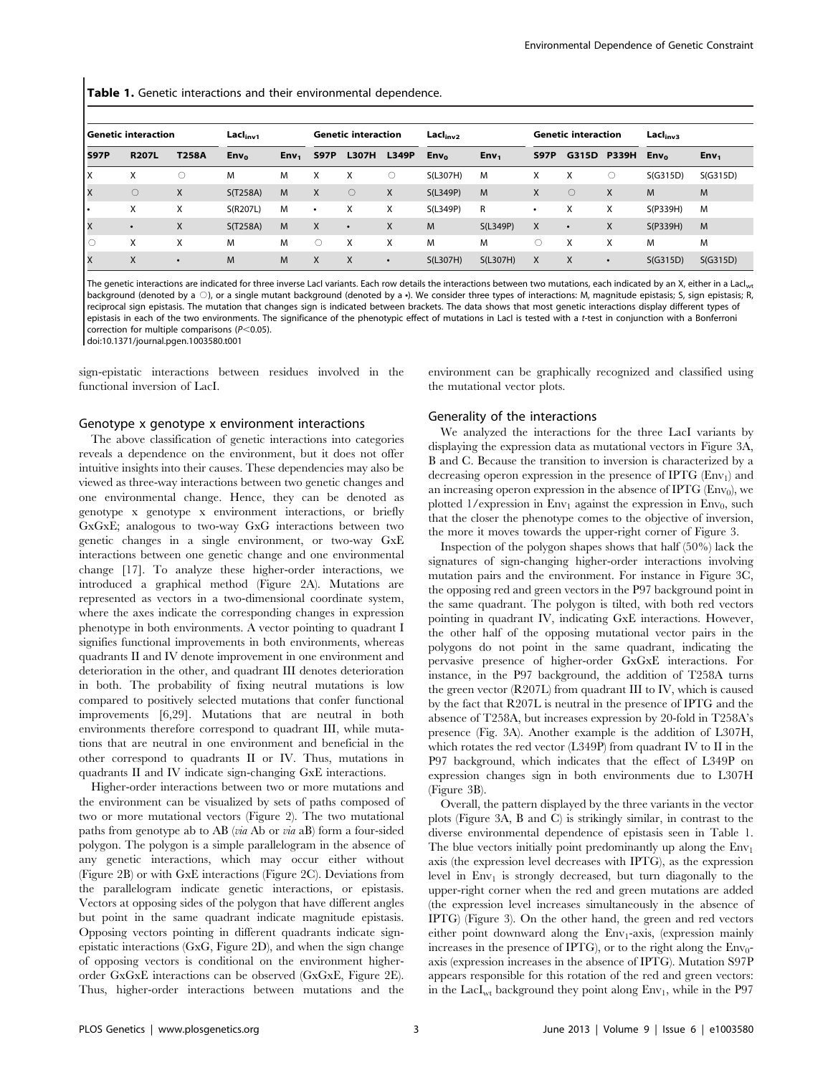Table 1. Genetic interactions and their environmental dependence.

| Genetic interaction |              |              | Lacl <sub>inv1</sub> |                  | <b>Genetic interaction</b> |              |              | Lacl <sub>inv2</sub> |                  | <b>Genetic interaction</b> |           |             | Lacl <sub>inv3</sub> |                  |
|---------------------|--------------|--------------|----------------------|------------------|----------------------------|--------------|--------------|----------------------|------------------|----------------------------|-----------|-------------|----------------------|------------------|
| <b>S97P</b>         | <b>R207L</b> | <b>T258A</b> | Env <sub>o</sub>     | Env <sub>1</sub> | <b>S97P</b>                | <b>L307H</b> | <b>L349P</b> | Env <sub>0</sub>     | Env <sub>1</sub> | <b>S97P</b>                |           | G315D P339H | Env <sub>0</sub>     | Env <sub>1</sub> |
| Iχ                  | X            | U            | M                    | M                | X                          | X            |              | S(L307H)             | M                | X                          | X         |             | S(G315D)             | S(G315D)         |
| Iχ                  | $\bigcirc$   | X            | S(T258A)             | M                | X                          | $\circ$      | X            | S(L349P)             | M                | X                          | $\circ$   | X           | M                    | M                |
| ı٠                  | X            | X            | S(R207L)             | M                | ٠                          | X            | X            | S(L349P)             | R                | $\bullet$                  | X         | X           | S(P339H)             | M                |
| IX                  | $\bullet$    | X            | S(T258A)             | M                | X                          | $\bullet$    | X            | M                    | S(L349P)         | X                          | $\bullet$ | X           | S(P339H)             | M                |
| $\circ$             | X            | X            | M                    | M                | $\circ$                    | X            | X            | M                    | M                | $\circ$                    | X         | X           | M                    | M                |
| Ιx                  | X            | $\bullet$    | M                    | M                | X                          | X            | $\bullet$    | S(L307H)             | S(L307H)         | X                          | X         | $\bullet$   | S(G315D)             | S(G315D)         |

The genetic interactions are indicated for three inverse LacI variants. Each row details the interactions between two mutations, each indicated by an X, either in a LacI<sub>wr</sub> background (denoted by a  $\circ$ ), or a single mutant background (denoted by a ·). We consider three types of interactions: M, magnitude epistasis; S, sign epistasis; R, reciprocal sign epistasis. The mutation that changes sign is indicated between brackets. The data shows that most genetic interactions display different types of epistasis in each of the two environments. The significance of the phenotypic effect of mutations in LacI is tested with a t-test in conjunction with a Bonferroni correction for multiple comparisons ( $P < 0.05$ ).

doi:10.1371/journal.pgen.1003580.t001

sign-epistatic interactions between residues involved in the functional inversion of LacI.

environment can be graphically recognized and classified using the mutational vector plots.

## Genotype x genotype x environment interactions

The above classification of genetic interactions into categories reveals a dependence on the environment, but it does not offer intuitive insights into their causes. These dependencies may also be viewed as three-way interactions between two genetic changes and one environmental change. Hence, they can be denoted as genotype x genotype x environment interactions, or briefly GxGxE; analogous to two-way GxG interactions between two genetic changes in a single environment, or two-way GxE interactions between one genetic change and one environmental change [17]. To analyze these higher-order interactions, we introduced a graphical method (Figure 2A). Mutations are represented as vectors in a two-dimensional coordinate system, where the axes indicate the corresponding changes in expression phenotype in both environments. A vector pointing to quadrant I signifies functional improvements in both environments, whereas quadrants II and IV denote improvement in one environment and deterioration in the other, and quadrant III denotes deterioration in both. The probability of fixing neutral mutations is low compared to positively selected mutations that confer functional improvements [6,29]. Mutations that are neutral in both environments therefore correspond to quadrant III, while mutations that are neutral in one environment and beneficial in the other correspond to quadrants II or IV. Thus, mutations in quadrants II and IV indicate sign-changing GxE interactions.

Higher-order interactions between two or more mutations and the environment can be visualized by sets of paths composed of two or more mutational vectors (Figure 2). The two mutational paths from genotype ab to AB (via Ab or via aB) form a four-sided polygon. The polygon is a simple parallelogram in the absence of any genetic interactions, which may occur either without (Figure 2B) or with GxE interactions (Figure 2C). Deviations from the parallelogram indicate genetic interactions, or epistasis. Vectors at opposing sides of the polygon that have different angles but point in the same quadrant indicate magnitude epistasis. Opposing vectors pointing in different quadrants indicate signepistatic interactions (GxG, Figure 2D), and when the sign change of opposing vectors is conditional on the environment higherorder GxGxE interactions can be observed (GxGxE, Figure 2E). Thus, higher-order interactions between mutations and the

## Generality of the interactions

We analyzed the interactions for the three LacI variants by displaying the expression data as mutational vectors in Figure 3A, B and C. Because the transition to inversion is characterized by a decreasing operon expression in the presence of IPTG  $(Env<sub>1</sub>)$  and an increasing operon expression in the absence of IPTG ( $Env<sub>0</sub>$ ), we plotted 1/expression in  $Env<sub>1</sub>$  against the expression in  $Env<sub>0</sub>$ , such that the closer the phenotype comes to the objective of inversion, the more it moves towards the upper-right corner of Figure 3.

Inspection of the polygon shapes shows that half (50%) lack the signatures of sign-changing higher-order interactions involving mutation pairs and the environment. For instance in Figure 3C, the opposing red and green vectors in the P97 background point in the same quadrant. The polygon is tilted, with both red vectors pointing in quadrant IV, indicating GxE interactions. However, the other half of the opposing mutational vector pairs in the polygons do not point in the same quadrant, indicating the pervasive presence of higher-order GxGxE interactions. For instance, in the P97 background, the addition of T258A turns the green vector (R207L) from quadrant III to IV, which is caused by the fact that R207L is neutral in the presence of IPTG and the absence of T258A, but increases expression by 20-fold in T258A's presence (Fig. 3A). Another example is the addition of L307H, which rotates the red vector (L349P) from quadrant IV to II in the P97 background, which indicates that the effect of L349P on expression changes sign in both environments due to L307H (Figure 3B).

Overall, the pattern displayed by the three variants in the vector plots (Figure 3A, B and C) is strikingly similar, in contrast to the diverse environmental dependence of epistasis seen in Table 1. The blue vectors initially point predominantly up along the  $Env<sub>1</sub>$ axis (the expression level decreases with IPTG), as the expression level in  $Env_1$  is strongly decreased, but turn diagonally to the upper-right corner when the red and green mutations are added (the expression level increases simultaneously in the absence of IPTG) (Figure 3). On the other hand, the green and red vectors either point downward along the  $Env_1$ -axis, (expression mainly increases in the presence of IPTG), or to the right along the  $Env_0$ axis (expression increases in the absence of IPTG). Mutation S97P appears responsible for this rotation of the red and green vectors: in the LacI<sub>wt</sub> background they point along  $Env_1$ , while in the P97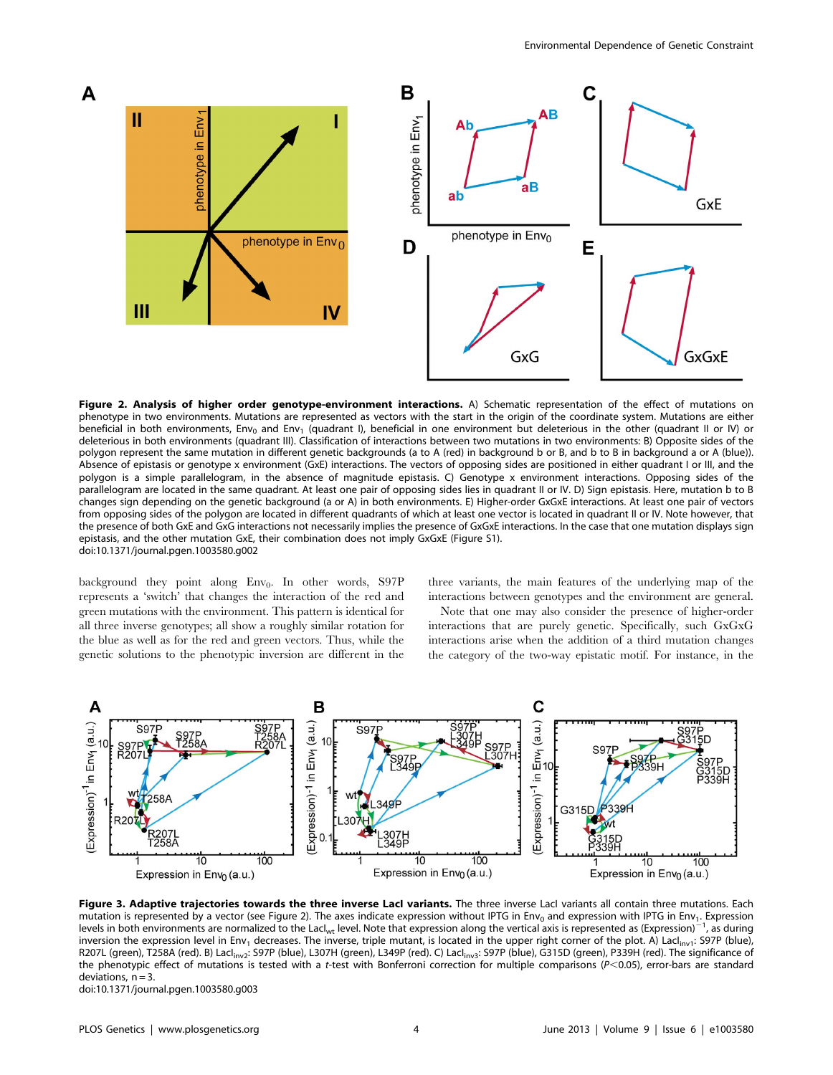

Figure 2. Analysis of higher order genotype-environment interactions. A) Schematic representation of the effect of mutations on phenotype in two environments. Mutations are represented as vectors with the start in the origin of the coordinate system. Mutations are either beneficial in both environments, Env<sub>0</sub> and Env<sub>1</sub> (quadrant I), beneficial in one environment but deleterious in the other (quadrant II or IV) or deleterious in both environments (quadrant III). Classification of interactions between two mutations in two environments: B) Opposite sides of the polygon represent the same mutation in different genetic backgrounds (a to A (red) in background b or B, and b to B in background a or A (blue)). Absence of epistasis or genotype x environment (GxE) interactions. The vectors of opposing sides are positioned in either quadrant I or III, and the polygon is a simple parallelogram, in the absence of magnitude epistasis. C) Genotype x environment interactions. Opposing sides of the parallelogram are located in the same quadrant. At least one pair of opposing sides lies in quadrant II or IV. D) Sign epistasis. Here, mutation b to B changes sign depending on the genetic background (a or A) in both environments. E) Higher-order GxGxE interactions. At least one pair of vectors from opposing sides of the polygon are located in different quadrants of which at least one vector is located in quadrant II or IV. Note however, that the presence of both GxE and GxG interactions not necessarily implies the presence of GxGxE interactions. In the case that one mutation displays sign epistasis, and the other mutation GxE, their combination does not imply GxGxE (Figure S1). doi:10.1371/journal.pgen.1003580.g002

background they point along  $Env_0$ . In other words, S97P represents a 'switch' that changes the interaction of the red and green mutations with the environment. This pattern is identical for all three inverse genotypes; all show a roughly similar rotation for the blue as well as for the red and green vectors. Thus, while the genetic solutions to the phenotypic inversion are different in the three variants, the main features of the underlying map of the interactions between genotypes and the environment are general.

Note that one may also consider the presence of higher-order interactions that are purely genetic. Specifically, such GxGxG interactions arise when the addition of a third mutation changes the category of the two-way epistatic motif. For instance, in the



Figure 3. Adaptive trajectories towards the three inverse LacI variants. The three inverse LacI variants all contain three mutations. Each mutation is represented by a vector (see Figure 2). The axes indicate expression without IPTG in Env<sub>0</sub> and expression with IPTG in Env<sub>1</sub>. Expression levels in both environments are normalized to the LacI<sub>wt</sub> level. Note that expression along the vertical axis is represented as (Expression)<sup>-1</sup>, as during inversion the expression level in Env<sub>1</sub> decreases. The inverse, triple mutant, is located in the upper right corner of the plot. A) Lacl<sub>inv1</sub>: S97P (blue), R207L (green), T258A (red). B) Lacliny: S97P (blue), L307H (green), L349P (red). C) Lacliny3: S97P (blue), G315D (green), P339H (red). The significance of the phenotypic effect of mutations is tested with a t-test with Bonferroni correction for multiple comparisons ( $P<0.05$ ), error-bars are standard deviations,  $n = 3$ . doi:10.1371/journal.pgen.1003580.g003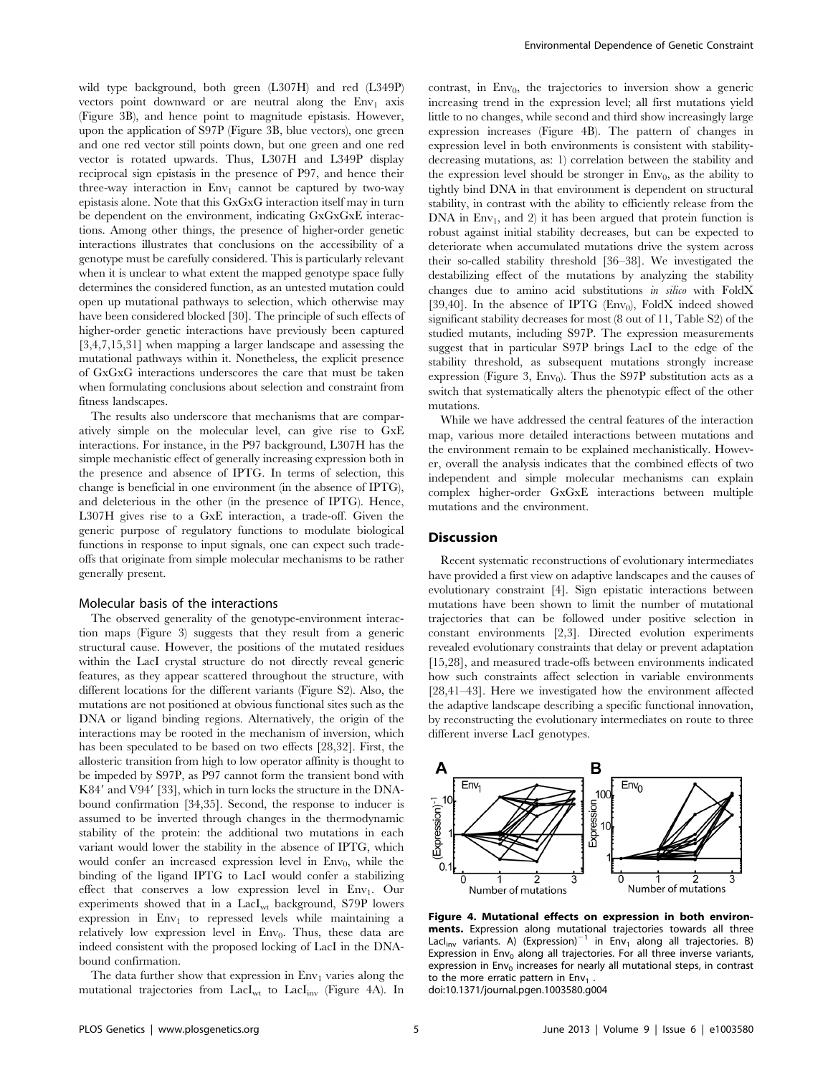wild type background, both green (L307H) and red (L349P) vectors point downward or are neutral along the  $Env_1$  axis (Figure 3B), and hence point to magnitude epistasis. However, upon the application of S97P (Figure 3B, blue vectors), one green and one red vector still points down, but one green and one red vector is rotated upwards. Thus, L307H and L349P display reciprocal sign epistasis in the presence of P97, and hence their three-way interaction in  $Env_1$  cannot be captured by two-way epistasis alone. Note that this GxGxG interaction itself may in turn be dependent on the environment, indicating GxGxGxE interactions. Among other things, the presence of higher-order genetic interactions illustrates that conclusions on the accessibility of a genotype must be carefully considered. This is particularly relevant when it is unclear to what extent the mapped genotype space fully determines the considered function, as an untested mutation could open up mutational pathways to selection, which otherwise may have been considered blocked [30]. The principle of such effects of higher-order genetic interactions have previously been captured [3,4,7,15,31] when mapping a larger landscape and assessing the mutational pathways within it. Nonetheless, the explicit presence of GxGxG interactions underscores the care that must be taken when formulating conclusions about selection and constraint from fitness landscapes.

The results also underscore that mechanisms that are comparatively simple on the molecular level, can give rise to GxE interactions. For instance, in the P97 background, L307H has the simple mechanistic effect of generally increasing expression both in the presence and absence of IPTG. In terms of selection, this change is beneficial in one environment (in the absence of IPTG), and deleterious in the other (in the presence of IPTG). Hence, L307H gives rise to a GxE interaction, a trade-off. Given the generic purpose of regulatory functions to modulate biological functions in response to input signals, one can expect such tradeoffs that originate from simple molecular mechanisms to be rather generally present.

## Molecular basis of the interactions

The observed generality of the genotype-environment interaction maps (Figure 3) suggests that they result from a generic structural cause. However, the positions of the mutated residues within the LacI crystal structure do not directly reveal generic features, as they appear scattered throughout the structure, with different locations for the different variants (Figure S2). Also, the mutations are not positioned at obvious functional sites such as the DNA or ligand binding regions. Alternatively, the origin of the interactions may be rooted in the mechanism of inversion, which has been speculated to be based on two effects [28,32]. First, the allosteric transition from high to low operator affinity is thought to be impeded by S97P, as P97 cannot form the transient bond with K84 $^{\prime}$  and V94 $^{\prime}$  [33], which in turn locks the structure in the DNAbound confirmation [34,35]. Second, the response to inducer is assumed to be inverted through changes in the thermodynamic stability of the protein: the additional two mutations in each variant would lower the stability in the absence of IPTG, which would confer an increased expression level in  $Env_0$ , while the binding of the ligand IPTG to LacI would confer a stabilizing effect that conserves a low expression level in Env1. Our experiments showed that in a LacIwt background, S79P lowers expression in  $Env<sub>1</sub>$  to repressed levels while maintaining a relatively low expression level in  $Env_0$ . Thus, these data are indeed consistent with the proposed locking of LacI in the DNAbound confirmation.

The data further show that expression in  $Env_1$  varies along the mutational trajectories from LacI<sub>wt</sub> to LacI<sub>inv</sub> (Figure 4A). In contrast, in  $Env<sub>0</sub>$ , the trajectories to inversion show a generic increasing trend in the expression level; all first mutations yield little to no changes, while second and third show increasingly large expression increases (Figure 4B). The pattern of changes in expression level in both environments is consistent with stabilitydecreasing mutations, as: 1) correlation between the stability and the expression level should be stronger in  $Env_0$ , as the ability to tightly bind DNA in that environment is dependent on structural stability, in contrast with the ability to efficiently release from the DNA in  $Env<sub>1</sub>$ , and 2) it has been argued that protein function is robust against initial stability decreases, but can be expected to deteriorate when accumulated mutations drive the system across their so-called stability threshold [36–38]. We investigated the destabilizing effect of the mutations by analyzing the stability changes due to amino acid substitutions in silico with FoldX [39,40]. In the absence of IPTG ( $Env<sub>0</sub>$ ), FoldX indeed showed significant stability decreases for most (8 out of 11, Table S2) of the studied mutants, including S97P. The expression measurements suggest that in particular S97P brings LacI to the edge of the stability threshold, as subsequent mutations strongly increase expression (Figure 3, Env<sub>0</sub>). Thus the S97P substitution acts as a switch that systematically alters the phenotypic effect of the other mutations.

While we have addressed the central features of the interaction map, various more detailed interactions between mutations and the environment remain to be explained mechanistically. However, overall the analysis indicates that the combined effects of two independent and simple molecular mechanisms can explain complex higher-order GxGxE interactions between multiple mutations and the environment.

# **Discussion**

Recent systematic reconstructions of evolutionary intermediates have provided a first view on adaptive landscapes and the causes of evolutionary constraint [4]. Sign epistatic interactions between mutations have been shown to limit the number of mutational trajectories that can be followed under positive selection in constant environments [2,3]. Directed evolution experiments revealed evolutionary constraints that delay or prevent adaptation [15,28], and measured trade-offs between environments indicated how such constraints affect selection in variable environments [28,41–43]. Here we investigated how the environment affected the adaptive landscape describing a specific functional innovation, by reconstructing the evolutionary intermediates on route to three different inverse LacI genotypes.



Figure 4. Mutational effects on expression in both environments. Expression along mutational trajectories towards all three Lacl<sub>inv</sub> variants. A) (Expression)<sup>-1</sup> in Env<sub>1</sub> along all trajectories. B) Expression in Env $<sub>0</sub>$  along all trajectories. For all three inverse variants,</sub> expression in  $Env<sub>0</sub>$  increases for nearly all mutational steps, in contrast to the more erratic pattern in  $Env<sub>1</sub>$ . doi:10.1371/journal.pgen.1003580.g004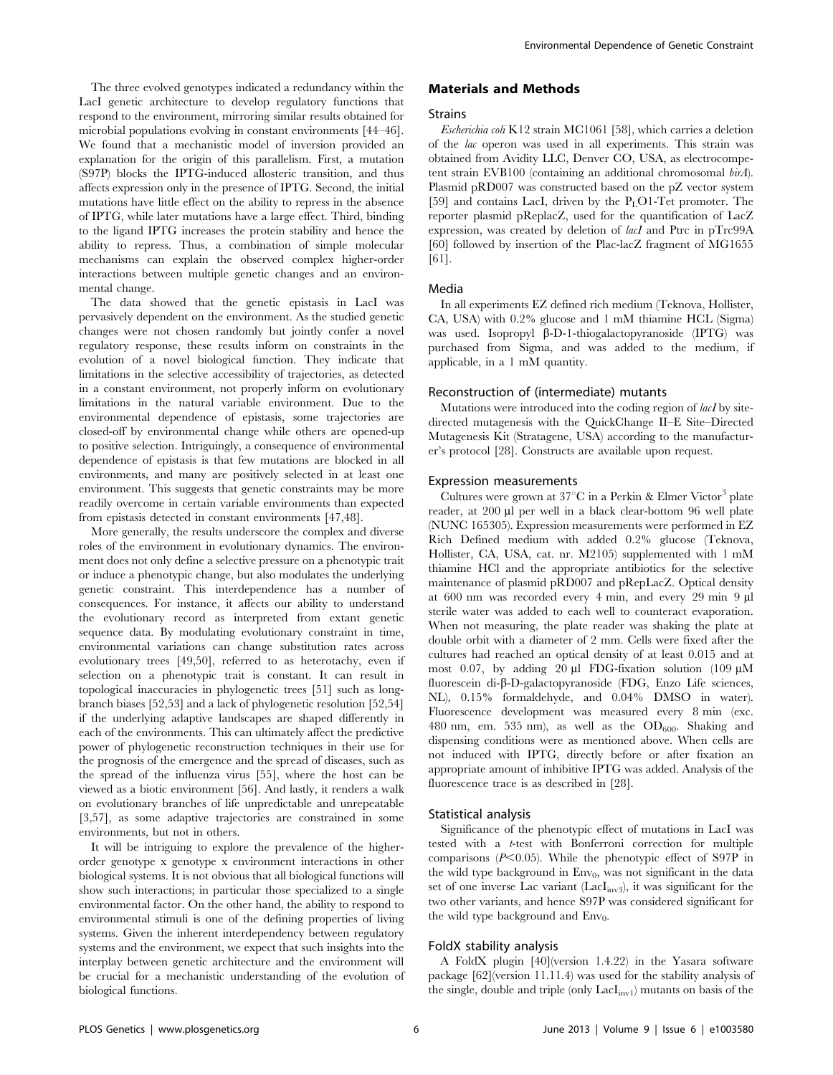The three evolved genotypes indicated a redundancy within the LacI genetic architecture to develop regulatory functions that respond to the environment, mirroring similar results obtained for microbial populations evolving in constant environments [44–46]. We found that a mechanistic model of inversion provided an explanation for the origin of this parallelism. First, a mutation (S97P) blocks the IPTG-induced allosteric transition, and thus affects expression only in the presence of IPTG. Second, the initial mutations have little effect on the ability to repress in the absence of IPTG, while later mutations have a large effect. Third, binding to the ligand IPTG increases the protein stability and hence the ability to repress. Thus, a combination of simple molecular mechanisms can explain the observed complex higher-order interactions between multiple genetic changes and an environmental change.

The data showed that the genetic epistasis in LacI was pervasively dependent on the environment. As the studied genetic changes were not chosen randomly but jointly confer a novel regulatory response, these results inform on constraints in the evolution of a novel biological function. They indicate that limitations in the selective accessibility of trajectories, as detected in a constant environment, not properly inform on evolutionary limitations in the natural variable environment. Due to the environmental dependence of epistasis, some trajectories are closed-off by environmental change while others are opened-up to positive selection. Intriguingly, a consequence of environmental dependence of epistasis is that few mutations are blocked in all environments, and many are positively selected in at least one environment. This suggests that genetic constraints may be more readily overcome in certain variable environments than expected from epistasis detected in constant environments [47,48].

More generally, the results underscore the complex and diverse roles of the environment in evolutionary dynamics. The environment does not only define a selective pressure on a phenotypic trait or induce a phenotypic change, but also modulates the underlying genetic constraint. This interdependence has a number of consequences. For instance, it affects our ability to understand the evolutionary record as interpreted from extant genetic sequence data. By modulating evolutionary constraint in time, environmental variations can change substitution rates across evolutionary trees [49,50], referred to as heterotachy, even if selection on a phenotypic trait is constant. It can result in topological inaccuracies in phylogenetic trees [51] such as longbranch biases [52,53] and a lack of phylogenetic resolution [52,54] if the underlying adaptive landscapes are shaped differently in each of the environments. This can ultimately affect the predictive power of phylogenetic reconstruction techniques in their use for the prognosis of the emergence and the spread of diseases, such as the spread of the influenza virus [55], where the host can be viewed as a biotic environment [56]. And lastly, it renders a walk on evolutionary branches of life unpredictable and unrepeatable [3,57], as some adaptive trajectories are constrained in some environments, but not in others.

It will be intriguing to explore the prevalence of the higherorder genotype x genotype x environment interactions in other biological systems. It is not obvious that all biological functions will show such interactions; in particular those specialized to a single environmental factor. On the other hand, the ability to respond to environmental stimuli is one of the defining properties of living systems. Given the inherent interdependency between regulatory systems and the environment, we expect that such insights into the interplay between genetic architecture and the environment will be crucial for a mechanistic understanding of the evolution of biological functions.

# Materials and Methods

#### **Strains**

Escherichia coli K12 strain MC1061 [58], which carries a deletion of the lac operon was used in all experiments. This strain was obtained from Avidity LLC, Denver CO, USA, as electrocompetent strain EVB100 (containing an additional chromosomal birA). Plasmid pRD007 was constructed based on the pZ vector system [59] and contains LacI, driven by the  $P<sub>L</sub>O1-Tet$  promoter. The reporter plasmid pReplacZ, used for the quantification of LacZ expression, was created by deletion of lacI and Ptrc in pTrc99A [60] followed by insertion of the Plac-lacZ fragment of MG1655 [61].

# Media

In all experiments EZ defined rich medium (Teknova, Hollister, CA, USA) with 0.2% glucose and 1 mM thiamine HCL (Sigma) was used. Isopropyl  $\beta$ -D-1-thiogalactopyranoside (IPTG) was purchased from Sigma, and was added to the medium, if applicable, in a 1 mM quantity.

#### Reconstruction of (intermediate) mutants

Mutations were introduced into the coding region of lacI by sitedirected mutagenesis with the QuickChange II–E Site–Directed Mutagenesis Kit (Stratagene, USA) according to the manufacturer's protocol [28]. Constructs are available upon request.

#### Expression measurements

Cultures were grown at  $37^{\circ}$ C in a Perkin & Elmer Victor<sup>3</sup> plate reader, at 200 µl per well in a black clear-bottom 96 well plate (NUNC 165305). Expression measurements were performed in EZ Rich Defined medium with added 0.2% glucose (Teknova, Hollister, CA, USA, cat. nr. M2105) supplemented with 1 mM thiamine HCl and the appropriate antibiotics for the selective maintenance of plasmid pRD007 and pRepLacZ. Optical density at 600 nm was recorded every 4 min, and every 29 min 9 ml sterile water was added to each well to counteract evaporation. When not measuring, the plate reader was shaking the plate at double orbit with a diameter of 2 mm. Cells were fixed after the cultures had reached an optical density of at least 0.015 and at most 0.07, by adding 20  $\mu$ I FDG-fixation solution (109  $\mu$ M fluorescein di-b-D-galactopyranoside (FDG, Enzo Life sciences, NL), 0.15% formaldehyde, and 0.04% DMSO in water). Fluorescence development was measured every 8 min (exc. 480 nm, em. 535 nm), as well as the  $OD_{600}$ . Shaking and dispensing conditions were as mentioned above. When cells are not induced with IPTG, directly before or after fixation an appropriate amount of inhibitive IPTG was added. Analysis of the fluorescence trace is as described in [28].

# Statistical analysis

Significance of the phenotypic effect of mutations in LacI was tested with a t-test with Bonferroni correction for multiple comparisons  $(P<0.05)$ . While the phenotypic effect of S97P in the wild type background in  $Env_0$ , was not significant in the data set of one inverse Lac variant (LacI<sub>inv3</sub>), it was significant for the two other variants, and hence S97P was considered significant for the wild type background and  $Env_0$ .

## FoldX stability analysis

A FoldX plugin [40](version 1.4.22) in the Yasara software package [62](version 11.11.4) was used for the stability analysis of the single, double and triple (only  $\text{LacI}_{\text{inv1}}$ ) mutants on basis of the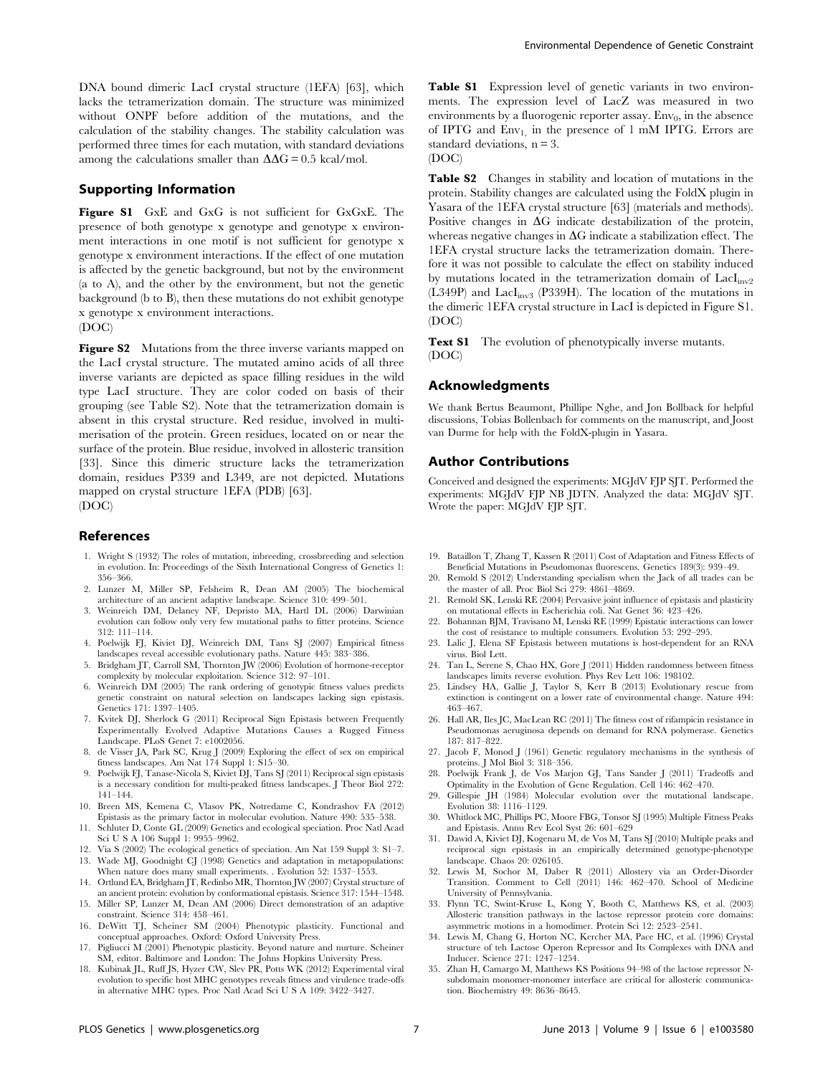DNA bound dimeric LacI crystal structure (1EFA) [63], which lacks the tetramerization domain. The structure was minimized without ONPF before addition of the mutations, and the calculation of the stability changes. The stability calculation was performed three times for each mutation, with standard deviations among the calculations smaller than  $\Delta\Delta G = 0.5$  kcal/mol.

## Supporting Information

Figure S1 GxE and GxG is not sufficient for GxGxE. The presence of both genotype x genotype and genotype x environment interactions in one motif is not sufficient for genotype x genotype x environment interactions. If the effect of one mutation is affected by the genetic background, but not by the environment (a to A), and the other by the environment, but not the genetic background (b to B), then these mutations do not exhibit genotype x genotype x environment interactions.

(DOC)

Figure S2 Mutations from the three inverse variants mapped on the LacI crystal structure. The mutated amino acids of all three inverse variants are depicted as space filling residues in the wild type LacI structure. They are color coded on basis of their grouping (see Table S2). Note that the tetramerization domain is absent in this crystal structure. Red residue, involved in multimerisation of the protein. Green residues, located on or near the surface of the protein. Blue residue, involved in allosteric transition [33]. Since this dimeric structure lacks the tetramerization domain, residues P339 and L349, are not depicted. Mutations mapped on crystal structure 1EFA (PDB) [63]. (DOC)

## References

- 1. Wright S (1932) The roles of mutation, inbreeding, crossbreeding and selection in evolution. In: Proceedings of the Sixth International Congress of Genetics 1: 356–366.
- 2. Lunzer M, Miller SP, Felsheim R, Dean AM (2005) The biochemical architecture of an ancient adaptive landscape. Science 310: 499–501.
- 3. Weinreich DM, Delaney NF, Depristo MA, Hartl DL (2006) Darwinian evolution can follow only very few mutational paths to fitter proteins. Science 312: 111–114.
- 4. Poelwijk FJ, Kiviet DJ, Weinreich DM, Tans SJ (2007) Empirical fitness landscapes reveal accessible evolutionary paths. Nature 445: 383–386.
- 5. Bridgham JT, Carroll SM, Thornton JW (2006) Evolution of hormone-receptor complexity by molecular exploitation. Science 312: 97–101.
- 6. Weinreich DM (2005) The rank ordering of genotypic fitness values predicts genetic constraint on natural selection on landscapes lacking sign epistasis. Genetics 171: 1397–1405.
- 7. Kvitek DJ, Sherlock G (2011) Reciprocal Sign Epistasis between Frequently Experimentally Evolved Adaptive Mutations Causes a Rugged Fitness Landscape. PLoS Genet 7: e1002056.
- 8. de Visser JA, Park SC, Krug J (2009) Exploring the effect of sex on empirical fitness landscapes. Am Nat 174 Suppl 1: S15–30.
- 9. Poelwijk FJ, Tanase-Nicola S, Kiviet DJ, Tans SJ (2011) Reciprocal sign epistasis is a necessary condition for multi-peaked fitness landscapes. J Theor Biol 272: 141–144.
- 10. Breen MS, Kemena C, Vlasov PK, Notredame C, Kondrashov FA (2012) Epistasis as the primary factor in molecular evolution. Nature 490: 535–538. 11. Schluter D, Conte GL (2009) Genetics and ecological speciation. Proc Natl Acad
- Sci U S A 106 Suppl 1: 9955–9962. 12. Via S (2002) The ecological genetics of speciation. Am Nat 159 Suppl 3: S1–7.
- 13. Wade MJ, Goodnight CJ (1998) Genetics and adaptation in metapopulations: When nature does many small experiments. . Evolution 52: 1537–1553.
- 14. Ortlund EA, Bridgham JT, Redinbo MR, Thornton JW (2007) Crystal structure of an ancient protein: evolution by conformational epistasis. Science 317: 1544–1548.
- 15. Miller SP, Lunzer M, Dean AM (2006) Direct demonstration of an adaptive constraint. Science 314: 458–461.
- 16. DeWitt TJ, Scheiner SM (2004) Phenotypic plasticity. Functional and conceptual approaches. Oxford: Oxford University Press.
- 17. Pigliucci M (2001) Phenotypic plasticity. Beyond nature and nurture. Scheiner SM, editor. Baltimore and London: The Johns Hopkins University Press.
- 18. Kubinak JL, Ruff JS, Hyzer CW, Slev PR, Potts WK (2012) Experimental viral evolution to specific host MHC genotypes reveals fitness and virulence trade-offs in alternative MHC types. Proc Natl Acad Sci U S A 109: 3422–3427.

Table S1 Expression level of genetic variants in two environments. The expression level of LacZ was measured in two environments by a fluorogenic reporter assay.  $Env_0$ , in the absence of IPTG and  $Env_1$  in the presence of 1 mM IPTG. Errors are standard deviations,  $n = 3$ .

(DOC)

Table S2 Changes in stability and location of mutations in the protein. Stability changes are calculated using the FoldX plugin in Yasara of the 1EFA crystal structure [63] (materials and methods). Positive changes in  $\Delta G$  indicate destabilization of the protein, whereas negative changes in  $\Delta G$  indicate a stabilization effect. The 1EFA crystal structure lacks the tetramerization domain. Therefore it was not possible to calculate the effect on stability induced by mutations located in the tetramerization domain of  $\text{LacI}_{\text{inv}2}$  $(L349P)$  and  $LacI<sub>inv3</sub>$  (P339H). The location of the mutations in the dimeric 1EFA crystal structure in LacI is depicted in Figure S1. (DOC)

Text S1 The evolution of phenotypically inverse mutants. (DOC)

# Acknowledgments

We thank Bertus Beaumont, Phillipe Nghe, and Jon Bollback for helpful discussions, Tobias Bollenbach for comments on the manuscript, and Joost van Durme for help with the FoldX-plugin in Yasara.

## Author Contributions

Conceived and designed the experiments: MGJdV FJP SJT. Performed the experiments: MGJdV FJP NB JDTN. Analyzed the data: MGJdV SJT. Wrote the paper: MGJdV FJP SJT.

- 19. Bataillon T, Zhang T, Kassen R (2011) Cost of Adaptation and Fitness Effects of Beneficial Mutations in Pseudomonas fluorescens. Genetics 189(3): 939–49.
- 20. Remold S (2012) Understanding specialism when the Jack of all trades can be the master of all. Proc Biol Sci 279: 4861–4869.
- 21. Remold SK, Lenski RE (2004) Pervasive joint influence of epistasis and plasticity on mutational effects in Escherichia coli. Nat Genet 36: 423–426.
- 22. Bohannan BJM, Travisano M, Lenski RE (1999) Epistatic interactions can lower the cost of resistance to multiple consumers. Evolution 53: 292–295.
- 23. Lalic J, Elena SF Epistasis between mutations is host-dependent for an RNA virus. Biol Lett.
- 24. Tan L, Serene S, Chao HX, Gore J (2011) Hidden randomness between fitness landscapes limits reverse evolution. Phys Rev Lett 106: 198102.
- 25. Lindsey HA, Gallie J, Taylor S, Kerr B (2013) Evolutionary rescue from extinction is contingent on a lower rate of environmental change. Nature 494: 463–467.
- 26. Hall AR, Iles JC, MacLean RC (2011) The fitness cost of rifampicin resistance in Pseudomonas aeruginosa depends on demand for RNA polymerase. Genetics 187: 817–822.
- 27. Jacob F, Monod J (1961) Genetic regulatory mechanisms in the synthesis of proteins. J Mol Biol 3: 318–356.
- 28. Poelwijk Frank J, de Vos Marjon GJ, Tans Sander J (2011) Tradeoffs and Optimality in the Evolution of Gene Regulation. Cell 146: 462–470.
- 29. Gillespie JH (1984) Molecular evolution over the mutational landscape. Evolution 38: 1116–1129.
- 30. Whitlock MC, Phillips PC, Moore FBG, Tonsor SJ (1995) Multiple Fitness Peaks and Epistasis. Annu Rev Ecol Syst 26: 601–629
- 31. Dawid A, Kiviet DJ, Kogenaru M, de Vos M, Tans SJ (2010) Multiple peaks and reciprocal sign epistasis in an empirically determined genotype-phenotype landscape. Chaos 20: 026105.
- 32. Lewis M, Sochor M, Daber R (2011) Allostery via an Order-Disorder Transition. Comment to Cell (2011) 146: 462–470. School of Medicine University of Pennsylvania.
- 33. Flynn TC, Swint-Kruse L, Kong Y, Booth C, Matthews KS, et al. (2003) Allosteric transition pathways in the lactose repressor protein core domains: asymmetric motions in a homodimer. Protein Sci 12: 2523–2541.
- 34. Lewis M, Chang G, Horton NC, Kercher MA, Pace HC, et al. (1996) Crystal structure of teh Lactose Operon Repressor and Its Complexes with DNA and Inducer. Science 271: 1247–1254.
- 35. Zhan H, Camargo M, Matthews KS Positions 94–98 of the lactose repressor Nsubdomain monomer-monomer interface are critical for allosteric communication. Biochemistry 49: 8636–8645.